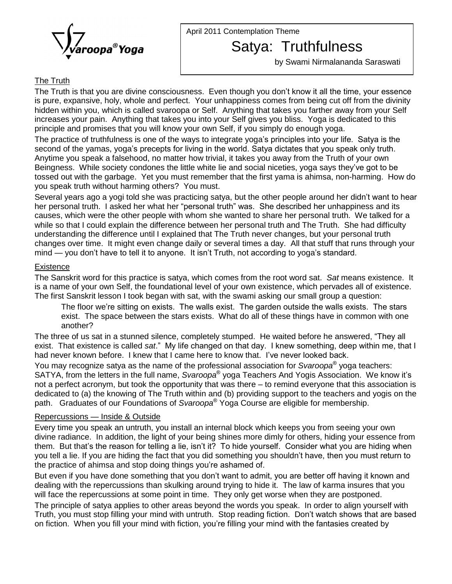

April 2011 Contemplation Theme

Satya: Truthfulness

by Swami Nirmalananda Saraswati

# The Truth

The Truth is that you are divine consciousness. Even though you donít know it all the time, your essence is pure, expansive, holy, whole and perfect. Your unhappiness comes from being cut off from the divinity hidden within you, which is called svaroopa or Self. Anything that takes you farther away from your Self increases your pain. Anything that takes you into your Self gives you bliss. Yoga is dedicated to this principle and promises that you will know your own Self, if you simply do enough yoga.

The practice of truthfulness is one of the ways to integrate yoga's principles into your life. Satya is the second of the yamas, yoga's precepts for living in the world. Satya dictates that you speak only truth. Anytime you speak a falsehood, no matter how trivial, it takes you away from the Truth of your own Beingness. While society condones the little white lie and social niceties, yoga says they've got to be tossed out with the garbage. Yet you must remember that the first yama is ahimsa, non-harming. How do you speak truth without harming others? You must.

Several years ago <sup>a</sup> yogi told she was practicing satya, but the other people around her didnít want to hear her personal truth. I asked her what her "personal truth" was. She described her unhappiness and its causes, which were the other people with whom she wanted to share her personal truth. We talked for a while so that I could explain the difference between her personal truth and The Truth. She had difficulty understanding the difference until I explained that The Truth never changes, but your personal truth changes over time. It might even change daily or several times a day. All that stuff that runs through your mind — you don't have to tell it to anyone. It isn't Truth, not according to yoga's standard.

### **Existence**

The Sanskrit word for this practice is satya, which comes from the root word sat. Sat means existence. It is a name of your own Self, the foundational level of your own existence, which pervades all of existence.<br>The first Sanskrit lesson I took began with sat, with the swami asking our small group a question:<br>The floor we're The first Sanskrit lesson I took began with sat, with the swami asking oursmall group a question:

exist. The space between the stars exists. What do all of these things have in common with one<br>another?<br>The three of us sat in a stunned silence, completely stumped. He waited before he answered, "They all another?

another?<br>The three of us sat in a stunned silence, completely stumped. He waited before he answered, "They all<br>exist. That existence is called *sat*." My life changed on that day. I knew something, deep within me, that The three of us sat in a stunned silence, completely stumped. He waited before he answere<br>exist. That existence is called *sat.*" My life changed on that day. I knew something, deep w<br>had never known before. I knew that I Æhad never known before. I knew that I came here to know that. I've never looked back.

You may recognize satya as the name of the professional association for *Svaroopa*® yoga teachers:<br>SATYA, from the letters in the full name, *Svaroopa*® yoga Teachers And Yogis Association. We know it's<br>not a perfect acro had never known before. I knew that I came here to know that. I've never looked back.<br>You may recognize satya as the name of the professional association for *Svaroopa*® yoga teachers:<br>SATYA, from the letters in the full n dedicated to (a) the knowing of The Truth within and (b) providing support to the teachers and yogis on the path. Graduates of our Foundations of S*varoopa*<sup>®</sup> Yoga Course are eligible for membership. not a perfect acronym, but took the opportunity that was there – to remind everyone that this association is dedicated to (a) the knowing of The Truth wit<br>path. Graduates of our Foundations of *Sva.*<br><u>Repercussions — Inside & Outside</u>

Every time you speak an untruth, you install an internal block which keeps you from seeing your own divine radiance. In addition, the light of your being shines more dimly for others, hiding your essence from Every time you speak an untruth, you install an internal block which keeps you from seeing your own<br>divine radiance. In addition, the light of your being shines more dimly for others, hiding your essence from<br>them. But tha The matter and a lie. In addition, the light of your being shines more dimly for others, hiding your essence from<br>them. But that's the reason for telling a lie, isn't it? To hide yourself. Consider what you are hiding when them. But that's the reason for telling a lie, isn't it? To hide yourself. Consider what you are hiding when you tell a lie. If you are hiding the fact that you did something you shouldn't have, then you must return to the you tell a lie. If you are hiding the fact that you did something you shouldn't have, then you must return to<br>the practice of ahimsa and stop doing things you're ashamed of.<br>But even if you have done something that you don

dealing with the repercussions than skulking around trying to hide it. The law of karma insures that you will face the repercussions at some point in time. They only get worse when they are postponed.

The principle of satya applies to other areas beyond the words you speak. In order to align yourself with will face the repercussions at some point in time. They only get worse when they are postponed.<br>The principle of satya applies to other areas beyond the words you speak. In order to align yourself with<br>Truth, you must stop The principle of satya applies to other areas beyond the words you speak. In order to align yourself with<br>Truth, you must stop filling your mind with untruth. Stop reading fiction. Don't watch shows that are based<br>on ficti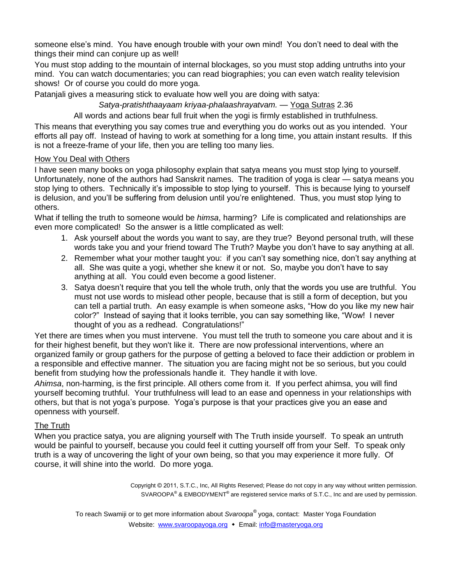someone else's mind. You have enough trouble with your own mind! You don't need to deal with the things their mind can conjure up as well!

You must stop adding to the mountain of internal blockages, so you must stop adding untruths into your mind. You can watch documentaries; you can read biographies; you can even watch reality television shows! Or of course you could do more yoga.

Patanjali gives a measuring stick to evaluate how well you are doing with satya:

Satya-pratishthaayaam kriyaa-phalaashrayatvam. - Yoga Sutras 2.36

All words and actions bear full fruit when the yogi is firmly established in truthfulness.

This means that everything you say comes true and everything you do works out as you intended. Your efforts all pay off. Instead of having to work at something for a long time, you attain instant results. If this is not a freeze-frame of your life, then you are telling too many lies.

### How You Deal with Others

I have seen many books on yoga philosophy explain that satya means you must stop lying to yourself. <u>How You Deal with Others</u><br>I have seen many books on yoga philosophy explain that satya means you must stop lying to yourself.<br>Unfortunately, none of the authors had Sanskrit names. The tradition of yoga is clear — satya I have seen many books on yoga philosophy explain that satya means you must stop lying to yourself.<br>Unfortunately, none of the authors had Sanskrit names. The tradition of yoga is clear — satya means you<br>stop lying to othe is delusion, and you'll be suffering from delusion until you're enlightened. The satya means you stop lying to others. Technically it's impossible to stop lying to yourself. This is because lying to yourself is delusion, a others.

What if telling the truth to someone would be *himsa*, harming? Life is complicated and relationships are even more complicated! So the answer is a little complicated as well:

- 1. Ask yourself about the words you want to say, are they true? Beyond personal truth, will these complicated! So the answer is a little complicated as well:<br>Ask yourself about the words you want to say, are they true? Beyond personal truth, will these<br>words take you and your friend toward The Truth? Maybe you don't ha 1. Ask yourself about the words you want to say, are they true? Beyond personal truth, will these<br>words take you and your friend toward The Truth? Maybe you don't have to say anything at all.<br>2. Remember what your mother t
- words take you and your friend toward The Truth? Maybe you don't have to say anything at all.<br>2. Remember what your mother taught you: if you can't say something nice, don't say anything at all. She was quite a yogi, wheth anything at all. You could even become a good listener. all. She was quite a yogi, whether she knew it or not. So, maybe you don't have to say<br>anything at all. You could even become a good listener.<br>3. Satya doesn't require that you tell the whole truth, only that the words you
- must not use words to mislead other people, because that is still a form of deception, but you Satya doesn't require that you tell the whole truth, only that the words you use are truthful. You<br>must not use words to mislead other people, because that is still a form of deception, but you<br>can tell a partial truth. An Figure 1.0 That is still a form of deception, but you<br>can tell a partial truth. An easy example is when someone asks, "How do you like my new hair<br>color?" Instead of saying that it looks terrible, you can say something lik that the a partial truth. An easy example is when some<br>color?" Instead of saying that it looks terrible, you ca<br>thought of you as a redhead. Congratulations!"

Yet there are times when you must intervene. You must tell the truth to someone you care about and it is for their highest benefit, but they won't like it. There are now professional interventions, where an organized family orgroup gathers for the purpose of getting a beloved to face their addiction or problem in a responsible and effective manner. The situation you are facing might not be so serious, but you could benefit from studying how the professionals handle it. They handle it with love.

Ahimsa, non-harming, is the first principle. All others come from it. If you perfect ahimsa, you will find yourself becoming truthful. Your truthfulness will lead to an ease and openness in your relationships with Ahimsa, non-harming, is the first principle. All others come from it. If you perfect ahimsa, you will find<br>yourself becoming truthful. Your truthfulness will lead to an ease and openness in your relationships with<br>others, openness with yourself.

# The Truth

When you practice satya, you are aligning yourself with The Truth inside yourself. To speak an untruth would be painful to yourself, because you could feel it cutting yourself off from your Self. To speak only truth is a way of uncovering the light of your own being, so that you may experience it more fully. Of course, it will shine into the world. Do more yoga.

Copyright © <sup>2011</sup>, S.T.C., Inc, All Rights Reserved; Please do not copy in any way without written permission. ÆÆ $\mathsf{SVAROOPA}^\circledast$  & EMBODYMENT $^\circledast$  are registered service marks of S.T.C., Inc and are used by permission.

To reach Swamiji or to get more information about *Svaroopa* yoga, contact: Master Yoga Foundation Website: [www.svaroopayoga.org](http://www.svaroopayoga.org) • Email: [info@masteryoga.org](mailto:info@masteryoga.org)